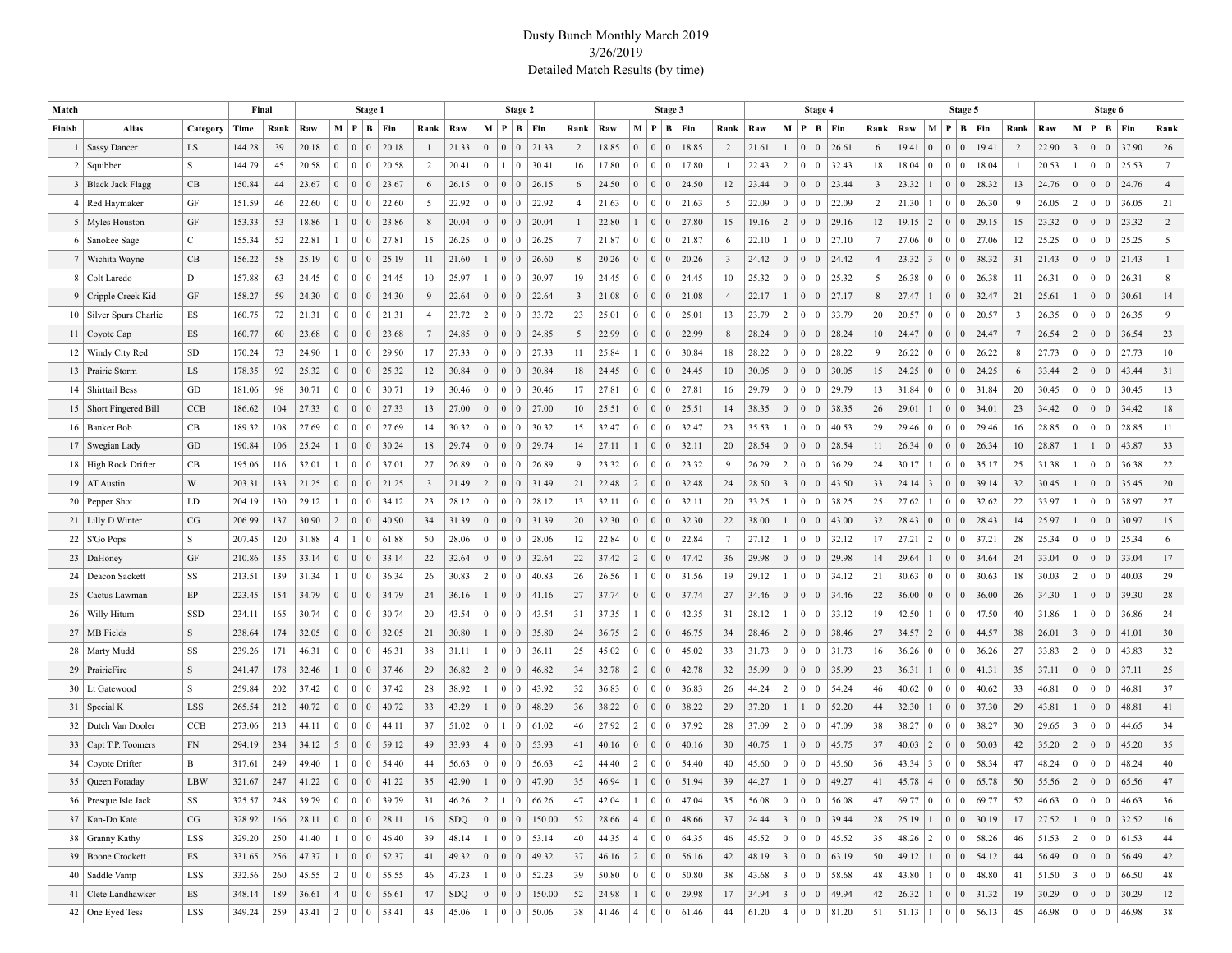## Dusty Bunch Monthly March 2019 3/26/2019 Detailed Match Results (by time)

| Match           |                           |              | Final  |      | Stage 1 |                 |                                    |                                                                         |                         | Stage 2     |                |                                  |                               |                |       | Stage 3         |                             |                                                                      |       |                         |       |                              | Stage 4                                                     |           |                         |             |                 |                                        | Stage 5   |                | Stage 6 |                 |                                        |                                                                              |                 |
|-----------------|---------------------------|--------------|--------|------|---------|-----------------|------------------------------------|-------------------------------------------------------------------------|-------------------------|-------------|----------------|----------------------------------|-------------------------------|----------------|-------|-----------------|-----------------------------|----------------------------------------------------------------------|-------|-------------------------|-------|------------------------------|-------------------------------------------------------------|-----------|-------------------------|-------------|-----------------|----------------------------------------|-----------|----------------|---------|-----------------|----------------------------------------|------------------------------------------------------------------------------|-----------------|
| Finish          | Alias                     | Category     | Time   | Rank | Raw     | M   P           |                                    | $B$   Fin                                                               | Rank                    | Raw         |                | M P                              | B   Fin                       | Rank           | Raw   |                 |                             | M   P   B   Fin                                                      |       | Rank                    | Raw   | M                            | P                                                           | $B$   Fin | Rank                    | Raw         | $\mathbf M$     | ∣₽                                     | $B$ Fin   | Rank           | Raw     | M   P           |                                        | $B$   Fin                                                                    | Rank            |
|                 | <b>Sassy Dancer</b>       | LS           | 144.28 | 39   | 20.18   | $\overline{0}$  | $\overline{0}$<br>$\overline{0}$   | 20.18                                                                   | $\mathbf{1}$            | 21.33       | $\Omega$       | $\mathbf{0}$<br>$\mathbf{0}$     | 21.33                         | $\overline{2}$ | 18.85 | $\overline{0}$  | $\Omega$                    | $\Omega$                                                             | 18.85 | 2                       | 21.61 | $\mathbf{1}$                 | $\overline{0}$<br>$\mathbf{0}$                              | 26.61     | 6                       | 19.41       | $\mathbf{0}$    | $\mathbf{0}$<br>$\overline{0}$         | 19.41     | $\overline{2}$ | 22.90   | $\overline{3}$  | $\vert 0 \vert$<br>$\mathbf{0}$        | 37.90                                                                        | 26              |
| 2               | Squibber                  | S            | 144.79 | 45   | 20.58   | $\overline{0}$  | $\overline{0}$<br>$\vert 0 \vert$  | 20.58                                                                   | $\overline{2}$          | 20.41       | $\Omega$       | $\mathbf{1}$<br>$\bf{0}$         | 30.41                         | 16             | 17.80 | $\bf{0}$        | $\Omega$                    | $\overline{0}$                                                       | 17.80 | $\overline{1}$          | 22.43 | 2                            | $\overline{0}$<br>$\overline{0}$                            | 32.43     | 18                      | 18.04       | $\mathbf{0}$    | $\vert 0 \vert$<br>$\vert 0 \vert$     | 18.04     |                | 20.53   | $\mathbf{1}$    | $\vert 0 \vert$<br>$\vert 0 \vert$     | 25.53                                                                        | $7\phantom{.0}$ |
|                 | 3   Black Jack Flagg      | CB           | 150.84 | 44   | 23.67   | $\overline{0}$  | $\vert 0 \vert$<br>$\vert 0 \vert$ | 23.67                                                                   | 6                       | 26.15       | $\Omega$       | (0)<br>$\overline{0}$            | 26.15                         | 6              | 24.50 | $\overline{0}$  | $\overline{0}$              | $\vert 0 \vert$                                                      | 24.50 | 12                      | 23.44 | $\mathbf{0}$                 | $\overline{0}$<br>$\overline{0}$                            | 23.44     | $\overline{\mathbf{3}}$ | 23.32       | $\mathbf{1}$    | $\vert 0 \vert$<br>$\mathbf{0}$        | 28.32     | 13             | 24.76   | $\mathbf{0}$    | $\vert 0 \vert$<br>$\vert 0 \vert$     | 24.76                                                                        | $\overline{4}$  |
|                 | 4   Red Haymaker          | GF           | 151.59 | 46   | 22.60   | $\Omega$        | $\overline{0}$<br>$\overline{0}$   | 22.60                                                                   | 5                       | 22.92       | $\Omega$       | $\bf{0}$<br>$\mathbf{0}$         | 22.92                         | $\overline{4}$ | 21.63 | $\bf{0}$        | $\overline{0}$              | $\vert 0 \vert$                                                      | 21.63 | 5                       | 22.09 | $\mathbf{0}$                 | $\overline{0}$<br>$\overline{0}$                            | 22.09     | $\overline{2}$          | 21.30       | $\mathbf{1}$    | $\vert 0 \vert$<br>$\bf{0}$            | 26.30     | 9              | 26.05   | 2               | $\vert 0 \vert$<br>$\bf{0}$            | 36.05                                                                        | 21              |
|                 | 5   Myles Houston         | GF           | 153.33 | 53   | 18.86   | $\mathbf{1}$    | $\vert 0 \vert$<br>$\vert 0 \vert$ | 23.86                                                                   | 8                       | 20.04       | $\Omega$       | (0)<br>$\overline{0}$            | 20.04                         |                | 22.80 |                 | $\overline{0}$              | $\vert 0 \vert$                                                      | 27.80 | 15                      | 19.16 | $\sqrt{2}$                   | $\overline{0}$<br>$\overline{0}$                            | 29.16     | 12                      | 19.15       | $\vert 2 \vert$ | $\vert 0 \vert$<br>$\overline{0}$      | 29.15     | 15             | 23.32   | $\mathbf{0}$    | $\vert 0 \vert$<br>$\vert 0 \vert$     | 23.32                                                                        | $\overline{2}$  |
|                 | 6   Sanokee Sage          | $\mathbf{C}$ | 155.34 | 52   | 22.81   | $\mathbf{1}$    | $\overline{0}$<br>$\overline{0}$   | 27.81                                                                   | 15                      | 26.25       | $\Omega$       | $\mathbf{0}$<br>$\bf{0}$         | 26.25                         | $\overline{7}$ | 21.87 | $\overline{0}$  | $\overline{0}$              | 0 21.87                                                              |       | 6                       | 22.10 | 1                            | $\overline{0}$<br>$\overline{0}$                            | 27.10     | $7\phantom{.0}$         | 27.06       | $\mathbf{0}$    | $\overline{0}$<br>$\bf{0}$             | 27.06     | 12             | 25.25   | $\mathbf{0}$    | $\vert 0 \vert$<br>$\bf{0}$            | 25.25                                                                        | 5               |
|                 | 7   Wichita Wayne         | CB           | 156.22 | 58   | 25.19   | $\overline{0}$  | $\vert 0 \vert$<br>$\vert 0 \vert$ | 25.19                                                                   | 11                      | 21.60       |                | $\mathbf{0}$<br>$\overline{0}$   | 26.60                         | 8              | 20.26 | $\overline{0}$  | $\overline{0}$              | $\vert 0 \vert$                                                      | 20.26 | $\overline{\mathbf{3}}$ | 24.42 | $\mathbf{0}$                 | $\overline{0}$<br>$\overline{0}$                            | 24.42     | $\overline{4}$          | 23.32       | $\vert 3 \vert$ | $\vert 0 \vert$<br>$\mathbf{0}$        | 38.32     | 31             | 21.43   | $\mathbf{0}$    | $\vert 0 \vert$<br>$\vert 0 \vert$     | 21.43                                                                        | $\mathbf{1}$    |
|                 | 8   Colt Laredo           | D            | 157.88 | 63   | 24.45   | $\mathbf{0}$    | $\overline{0}$<br>$\vert 0 \vert$  | 24.45                                                                   | 10                      | 25.97       |                | $\bf{0}$<br>$\Omega$             | 30.97                         | 19             | 24.45 | $\bf{0}$        | $\mathbf{0}$                | 0                                                                    | 24.45 | 10                      | 25.32 | $\mathbf{0}$                 | $\overline{0}$<br>$\overline{0}$                            | 25.32     | 5                       | 26.38       | $\vert 0 \vert$ | $\overline{0}$<br>$\overline{0}$       | 26.38     | 11             | 26.31   | $\mathbf{0}$    | $\vert 0 \vert$<br>$\mathbf{0}$        | 26.31                                                                        | 8               |
|                 | 9   Cripple Creek Kid     | GF           | 158.27 | 59   | 24.30   | $\mathbf{0}$    | $\vert 0 \vert$<br>$\vert 0 \vert$ | 24.30                                                                   | 9                       | 22.64       | $\Omega$       | $\mathbf{0}$<br>$\overline{0}$   | 22.64                         | 3              | 21.08 | $\overline{0}$  | $\overline{0}$              | $\vert 0 \vert$                                                      | 21.08 | $\overline{4}$          | 22.17 | $\mathbf{1}$                 | $\overline{0}$<br>$\overline{0}$                            | 27.17     | $8\phantom{1}$          | 27.47       | $\mathbf{1}$    | $\vert 0 \vert$<br>$\mathbf{0}$        | 32.47     | 21             | 25.61   | $\mathbf{1}$    | $\vert 0 \vert$<br>$\mathbf{0}$        | 30.61                                                                        | 14              |
|                 | 10   Silver Spurs Charlie | ES           | 160.75 | 72   | 21.31   | $\overline{0}$  | $\overline{0}$<br>$\vert 0 \vert$  | 21.31                                                                   | $\overline{4}$          | 23.72       | $\overline{2}$ | $\bf{0}$<br>$\mathbf{0}$         | 33.72                         | 23             | 25.01 | $\bf{0}$        | $\Omega$                    | 0                                                                    | 25.01 | 13                      | 23.79 | $\overline{2}$               | $\overline{0}$<br>$\overline{0}$                            | 33.79     | 20                      | 20.57       | 0 <sup>1</sup>  | $\mathbf{0}$<br>$\overline{0}$         | 20.57     | 3              | 26.35   | $\mathbf{0}$    | $\vert 0 \vert$<br>$\mathbf{0}$        | 26.35                                                                        | 9               |
|                 | 11   Coyote Cap           | ES           | 160.77 | 60   | 23.68   | $\mathbf{0}$    | $\vert 0 \vert$<br>$\mathbf{0}$    | 23.68                                                                   | $7\phantom{.0}$         | 24.85       | $\mathbf{0}$   | $\mathbf{0}$<br>$\overline{0}$   | 24.85                         | 5              | 22.99 | $\overline{0}$  | $\overline{0}$              | $\overline{0}$                                                       | 22.99 | 8                       | 28.24 | $\mathbf{0}$                 | $\overline{0}$<br>$\overline{0}$                            | 28.24     | 10                      | 24.47       | $\vert 0 \vert$ | $\vert 0 \vert$<br>$\mathbf{0}$        | 24.47     | $\overline{7}$ | 26.54   | $\overline{2}$  | $\vert 0 \vert$<br>$\mathbf{0}$        | 36.54                                                                        | 23              |
|                 | 12   Windy City Red       | <b>SD</b>    | 170.24 | 73   | 24.90   | $\mathbf{1}$    | $\overline{0}$<br>$\overline{0}$   | 29.90                                                                   | 17                      | 27.33       | $\Omega$       | $\mathbf{0}$<br>$\mathbf{0}$     | 27.33                         | 11             | 25.84 |                 | $\Omega$                    | 0                                                                    | 30.84 | 18                      | 28.22 | $\mathbf{0}$                 | $\overline{0}$<br>$\overline{0}$                            | 28.22     | 9                       | 26.22       | $\mathbf{0}$    | $\overline{0}$<br>$\bf{0}$             | 26.22     | 8              | 27.73   | $\mathbf{0}$    | $\vert 0 \vert$<br>$\vert 0 \vert$     | 27.73                                                                        | 10              |
|                 | 13 Prairie Storm          | LS           | 178.35 | 92   | 25.32   | $\mathbf{0}$    | $\vert 0 \vert$<br>$\vert 0 \vert$ | 25.32                                                                   | 12                      | 30.84       | $\Omega$       | $\mathbf{0}$<br>$\overline{0}$   | 30.84                         | 18             | 24.45 | $\overline{0}$  | $\overline{0}$              | $\overline{0}$                                                       | 24.45 | 10                      | 30.05 | $\mathbf{0}$                 | $\overline{0}$<br>$\overline{0}$                            | 30.05     | 15                      | 24.25       | $\vert 0 \vert$ | $\vert 0 \vert$<br>$\mathbf{0}$        | 24.25     | 6              | 33.44   | $\overline{2}$  | $\vert 0 \vert$<br>$\vert 0 \vert$     | 43.44                                                                        | 31              |
| 14              | <b>Shirttail Bess</b>     | GD           | 181.06 | 98   | 30.71   | $\overline{0}$  | $\overline{0}$<br>$\bf{0}$         | 30.71                                                                   | 19                      | 30.46       | $\Omega$       | $\bf{0}$<br>$\mathbf{0}$         | 30.46                         | 17             | 27.81 | $\bf{0}$        | $\overline{0}$              | 0                                                                    | 27.81 | 16                      | 29.79 | $\mathbf{0}$                 | $\overline{0}$<br>$\overline{0}$                            | 29.79     | 13                      | 31.84       | $\mathbf{0}$    | $\overline{0}$<br>$\overline{0}$       | 31.84     | 20             | 30.45   | $\mathbf{0}$    | $\vert 0 \vert$<br>$\bf{0}$            | 30.45                                                                        | 13              |
|                 | 15   Short Fingered Bill  | <b>CCB</b>   | 186.62 | 104  | 27.33   | $\overline{0}$  | $\vert 0 \vert$<br>$\vert 0 \vert$ | 27.33                                                                   | 13                      | 27.00       | $\Omega$       | $\mathbf{0}$<br>$\overline{0}$   | 27.00                         | 10             | 25.51 | $\overline{0}$  | $\mathbf{0}$                | $\overline{0}$                                                       | 25.51 | 14                      | 38.35 | $\mathbf{0}$                 | $\overline{0}$<br>$\overline{0}$                            | 38.35     | 26                      | 29.01       | $\mathbf{1}$    | $\vert 0 \vert$<br>$\mathbf{0}$        | 34.01     | 23             | 34.42   | $\mathbf{0}$    | $\vert 0 \vert$<br>$\mathbf{0}$        | 34.42                                                                        | 18              |
|                 | 16   Banker Bob           | CB           | 189.32 | 108  | 27.69   | $\mathbf{0}$    | $\overline{0}$<br>$\vert 0 \vert$  | 27.69                                                                   | 14                      | 30.32       | $\Omega$       | $\bf{0}$<br>$\Omega$             | 30.32                         | 15             | 32.47 | $\bf{0}$        | $\mathbf{0}$                | 0                                                                    | 32.47 | 23                      | 35.53 | 1                            | $\overline{0}$<br>$\overline{0}$                            | 40.53     | 29                      | 29.46       | $\mathbf{0}$    | $\vert 0 \vert$<br>$\bf{0}$            | 29.46     | 16             | 28.85   | $\mathbf{0}$    | $\vert 0 \vert$<br>$\bf{0}$            | 28.85                                                                        | 11              |
|                 | 17   Swegian Lady         | GD           | 190.84 | 106  | 25.24   | $\mathbf{1}$    | $\vert 0 \vert$<br>$\vert 0 \vert$ | 30.24                                                                   | 18                      | 29.74       | $\Omega$       | $\mathbf{0}$<br>$\overline{0}$   | 29.74                         | 14             | 27.11 |                 | $\overline{0}$              | $\vert 0 \vert$                                                      | 32.11 | 20                      | 28.54 | $\mathbf{0}$                 | $\overline{0}$<br>$\overline{0}$                            | 28.54     | 11                      | 26.34       | $\vert 0 \vert$ | $\vert 0 \vert$<br>$\mathbf{0}$        | 26.34     | 10             | 28.87   | $\mathbf{1}$    | $\mathbf{0}$                           | 43.87                                                                        | 33              |
|                 | 18   High Rock Drifter    | CB           | 195.06 | 116  | 32.01   | $\mathbf{1}$    | $\overline{0}$<br>$\bf{0}$         | 37.01                                                                   | 27                      | 26.89       | $\Omega$       | $\bf{0}$<br>$\theta$             | 26.89                         | 9              | 23.32 | $\overline{0}$  | $\mathbf{0}$                | 0                                                                    | 23.32 | 9                       | 26.29 | $\overline{2}$               | $\overline{0}$<br>$\overline{0}$                            | 36.29     | 24                      | 30.17       | $\mathbf{1}$    | $\overline{0}$<br>$\overline{0}$       | 35.17     | 25             | 31.38   | 1               | $\vert 0 \vert$<br>$\bf{0}$            | 36.38                                                                        | 22              |
|                 | $19$   AT Austin          | W            | 203.31 | 133  | 21.25   | $\overline{0}$  | $\vert 0 \vert$<br>$\vert 0 \vert$ | 21.25                                                                   | $\overline{\mathbf{3}}$ | 21.49       | $\overline{2}$ | $\mathbf{0}$<br>$\overline{0}$   | 31.49                         | 21             | 22.48 | $\overline{c}$  | $\overline{0}$              | $\vert 0 \vert$                                                      | 32.48 | 24                      | 28.50 | $\overline{3}$               | $\overline{0}$<br>$\overline{0}$                            | 43.50     | 33                      | 24.14       | $\overline{3}$  | $\vert 0 \vert$<br>$\overline{0}$      | 39.14     | 32             | 30.45   | $\mathbf{1}$    | $\vert 0 \vert$<br>$\mathbf{0}$        | 35.45                                                                        | 20              |
|                 | 20   Pepper Shot          | LD           | 204.19 | 130  | 29.12   | $\mathbf{1}$    | $\overline{0}$<br>$\overline{0}$   | 34.12                                                                   | 23                      | 28.12       | $\Omega$       | $\bf{0}$<br>$\mathbf{0}$         | 28.12                         | 13             | 32.11 | $\bf{0}$        | $\mathbf{0}$                | $\overline{0}$                                                       | 32.11 | 20                      | 33.25 |                              | $\overline{0}$<br>$\overline{0}$                            | 38.25     | 25                      | 27.62       | $\mathbf{1}$    | $\overline{0}$<br>$\bf{0}$             | 32.62     | 22             | 33.97   | $\mathbf{1}$    | $\vert 0 \vert$<br>$\overline{0}$      | 38.97                                                                        | 27              |
|                 | 21   Lilly D Winter       | CG           | 206.99 | 137  | 30.90   | $\overline{c}$  | $\vert 0 \vert$<br>$\mathbf{0}$    | 40.90                                                                   | 34                      | 31.39       | $\Omega$       | $\mathbf{0}$<br>$\overline{0}$   | 31.39                         | 20             | 32.30 | $\overline{0}$  | $\mathbf{0}$                | $\vert 0$                                                            | 32.30 | 22                      | 38.00 | 1                            | $\overline{0}$<br>$\overline{0}$                            | 43.00     | 32                      | 28.43       | $\vert 0 \vert$ | $\vert 0 \vert$<br>$\overline{0}$      | 28.43     | 14             | 25.97   | $\mathbf{1}$    | $\vert 0 \vert$<br>$\mathbf{0}$        | 30.97                                                                        | 15              |
|                 | $22 \mid$ S'Go Pops       | S            | 207.45 | 120  | 31.88   | $\overline{4}$  | $\overline{1}$<br>$\overline{0}$   | 61.88                                                                   | 50                      | 28.06       | $\Omega$       | $\bf{0}$<br>$\mathbf{0}$         | 28.06                         | 12             | 22.84 | $\bf{0}$        | $\Omega$                    | 0                                                                    | 22.84 | 7                       | 27.12 |                              | $\mathbf{0}$<br>$\overline{0}$                              | 32.12     | 17                      | 27.21       | $\overline{2}$  | $\vert 0 \vert$<br>$\bf{0}$            | 37.21     | 28             | 25.34   | $\mathbf{0}$    | $\vert 0 \vert$<br>$\mathbf{0}$        | 25.34                                                                        | 6               |
|                 | 23   DaHoney              | GF           | 210.86 | 135  | 33.14   | $\mathbf{0}$    | $\vert 0 \vert$<br>$\mathbf{0}$    | 33.14                                                                   | 22                      | 32.64       | $\Omega$       | $\mathbf{0}$<br>$\overline{0}$   | 32.64                         | 22             | 37.42 | $\overline{2}$  | $\overline{0}$              | $\vert 0 \vert$                                                      | 47.42 | 36                      | 29.98 | $\mathbf{0}$                 | $\overline{0}$<br>$\mathbf{0}$                              | 29.98     | 14                      | 29.64       | $\mathbf{1}$    | $\vert 0 \vert$<br>$\mathbf{0}$        | 34.64     | 24             | 33.04   | $\mathbf{0}$    | $\vert 0 \vert$<br>$\mathbf{0}$        | 33.04                                                                        | 17              |
|                 | 24   Deacon Sackett       | SS           | 213.51 | 139  | 31.34   | $\mathbf{1}$    | $\overline{0}$<br>$\overline{0}$   | 36.34                                                                   | 26                      | 30.83       | $\overline{2}$ | $\bf{0}$<br>$\mathbf{0}$         | 40.83                         | 26             | 26.56 |                 | $\overline{0}$              | $\vert 0 \vert$                                                      | 31.56 | 19                      | 29.12 |                              | $\overline{0}$<br>$\overline{0}$                            | 34.12     | 21                      | 30.63       | $\mathbf{0}$    | $\vert 0 \vert$<br>$\overline{0}$      | 30.63     | 18             | 30.03   | 2               | $\vert 0 \vert$<br>$\overline{0}$      | 40.03                                                                        | 29              |
| 25              | Cactus Lawman             | EP           | 223.45 | 154  | 34.79   | $\mathbf{0}$    | $\vert 0 \vert$<br>$\vert 0 \vert$ | 34.79                                                                   | 24                      | 36.16       |                | $\mathbf{0}$<br>$\overline{0}$   | 41.16                         | 27             | 37.74 | $\overline{0}$  | $\overline{0}$              | $\vert 0 \vert$                                                      | 37.74 | 27                      | 34.46 | $\mathbf{0}$                 | $\overline{0}$<br>$\overline{0}$                            | 34.46     | 22                      | 36.00       | $\mathbf{0}$    | $\vert 0 \vert$<br>$\overline{0}$      | 36.00     | 26             | 34.30   | $\mathbf{1}$    | $\vert 0 \vert$<br>$\mathbf{0}$        | 39.30                                                                        | 28              |
| 26 <sup>1</sup> | Willy Hitum               | SSD          | 234.11 | 165  | 30.74   | $\mathbf{0}$    | $\overline{0}$<br>$\overline{0}$   | 30.74                                                                   | 20                      | 43.54       | $\Omega$       | $\mathbf{0}$<br>$\Omega$         | 43.54                         | 31             | 37.35 |                 | $\mathbf{0}$                | 0                                                                    | 42.35 | 31                      | 28.12 |                              | $\overline{0}$<br>$\overline{0}$                            | 33.12     | 19                      | 42.50       | $\mathbf{1}$    | $\overline{0}$<br>$\overline{0}$       | 47.50     | 40             | 31.86   | 1               | $\vert 0 \vert$<br>$\bf{0}$            | 36.86                                                                        | 24              |
|                 | 27   MB Fields            | S            | 238.64 | 174  | 32.05   | $\overline{0}$  | $\vert 0 \vert$<br>$\mathbf{0}$    | 32.05                                                                   | 21                      | 30.80       |                | (0)<br>$\overline{0}$            | 35.80                         | 24             | 36.75 | $\overline{2}$  | $\overline{0}$<br>$\vert 0$ |                                                                      | 46.75 | 34                      | 28.46 | $\vert$ 2                    | $\overline{0}$<br>$\vert 0 \vert$                           | 38.46     | 27                      | 34.57       | $\vert$ 2       | $\vert 0 \vert$<br>$\overline{0}$      | 44.57     | 38             | 26.01   | 3               | $\vert 0 \vert$<br>$\vert 0 \vert$     | 41.01                                                                        | 30              |
|                 | 28   Marty Mudd           | SS           | 239.26 | 171  | 46.31   | $\Omega$        | $\overline{0}$<br>$\vert 0 \vert$  | 46.31                                                                   | 38                      | 31.11       |                | $\bf{0}$<br>$\Omega$             | 36.11                         | 25             | 45.02 | $\bf{0}$        | $\overline{0}$              | 0                                                                    | 45.02 | 33                      | 31.73 | $\mathbf{0}$                 | $\overline{0}$<br>$\overline{0}$                            | 31.73     | 16                      | 36.26       | $\mathbf{0}$    | $\mathbf{0}$<br>$\overline{0}$         | 36.26     | 27             | 33.83   | $\overline{2}$  | $\vert 0 \vert$<br>$\bf{0}$            | 43.83                                                                        | 32              |
|                 | 29   PrairieFire          | S            | 241.47 | 178  | 32.46   | $\mathbf{1}$    | $\vert 0 \vert$<br>$\vert 0 \vert$ | 37.46                                                                   | 29                      | 36.82       | $\overline{2}$ | $\mathbf{0}$<br>$\overline{0}$   | 46.82                         | 34             | 32.78 | $\overline{c}$  | $\overline{0}$<br>$\vert 0$ |                                                                      | 42.78 | 32                      | 35.99 | $\mathbf{0}$                 | $\overline{0}$<br>$\vert 0 \vert$                           | 35.99     | 23                      | 36.31       | $\mathbf{1}$    | $\vert 0 \vert$<br>$\mathbf{0}$        | 41.31     | 35             | 37.11   | $\mathbf{0}$    | $\vert 0 \vert$<br>$\vert 0 \vert$     | 37.11                                                                        | 25              |
|                 | 30   Lt Gatewood          | S            | 259.84 | 202  | 37.42   | $\Omega$        | $\overline{0}$<br>$\overline{0}$   | 37.42                                                                   | 28                      | 38.92       |                | $\overline{0}$<br>$\mathbf{0}$   | 43.92                         | 32             | 36.83 | $\bf{0}$        | $\overline{0}$              | $\overline{0}$                                                       | 36.83 | 26                      | 44.24 | 2                            | $\overline{0}$<br>$\overline{0}$                            | 54.24     | 46                      | 40.62       | $\mathbf{0}$    | $\overline{0}$<br>$\overline{0}$       | 40.62     | 33             | 46.81   | $\mathbf{0}$    | $\vert 0 \vert$<br>$\bf{0}$            | 46.81                                                                        | 37              |
|                 | 31   Special K            | LSS          | 265.54 | 212  | 40.72   | $\mathbf{0}$    | $\vert 0 \vert$<br>$\mathbf{0}$    | 40.72                                                                   | 33                      | 43.29       |                | $\overline{0}$<br>$\overline{0}$ | 48.29                         | 36             | 38.22 | $\overline{0}$  | $\mathbf{0}$                | 0                                                                    | 38.22 | 29                      | 37.20 | $\mathbf{1}$                 | $\boldsymbol{0}$<br>$\overline{1}$                          | 52.20     | 44                      | 32.30       | $\mathbf{1}$    | $\vert 0 \vert$<br>$\mathbf{0}$        | 37.30     | 29             | 43.81   | $\mathbf{1}$    | $\vert 0 \vert$<br>$\mathbf{0}$        | 48.81                                                                        | 41              |
|                 | 32   Dutch Van Dooler     | <b>CCB</b>   | 273.06 | 213  | 44.11   | $\mathbf{0}$    | $\overline{0}$<br>$\overline{0}$   | 44.11                                                                   | 37                      | 51.02       | $\Omega$       | $\mathbf{1}$<br>$\bf{0}$         | 61.02                         | 46             | 27.92 | 2               | $\mathbf{0}$                | $\overline{0}$                                                       | 37.92 | 28                      | 37.09 | $\overline{2}$               | $\overline{0}$<br>$\overline{0}$                            | 47.09     | 38                      | 38.27       | $\mathbf{0}$    | $\mathbf{0}$<br>$\overline{0}$         | 38.27     | 30             | 29.65   | $\overline{3}$  | $\vert 0 \vert$<br>$\overline{0}$      | 44.65                                                                        | 34              |
|                 | 33   Capt T.P. Toomers    | <b>FN</b>    | 294.19 | 234  | 34.12   | 5               | $\vert 0 \vert$<br>$\overline{0}$  | 59.12                                                                   | 49                      | 33.93       | $\overline{4}$ | $\mathbf{0}$<br>$\overline{0}$   | 53.93                         | 41             | 40.16 | $\overline{0}$  | $\overline{0}$              | 0                                                                    | 40.16 | 30                      | 40.75 | $\mathbf{1}$                 | $\overline{0}$<br>$\overline{0}$                            | 45.75     | 37                      | 40.03       | $\vert 2 \vert$ | $\vert 0 \vert$<br>$\mathbf{0}$        | 50.03     | 42             | 35.20   | $\overline{2}$  | $\vert 0 \vert$<br>$\mathbf{0}$        | 45.20                                                                        | 35              |
|                 | 34   Coyote Drifter       | B            | 317.61 | 249  | 49.40   | 1               | $\overline{0}$<br>$\overline{0}$   | 54.40                                                                   | 44                      | 56.63       | $^{\circ}$     | $\Omega$<br>$\Omega$             | 56.63                         | 42             | 44.40 | $\overline{2}$  | $\Omega$                    | $\Omega$                                                             | 54.40 | 40                      | 45.60 | $\mathbf{0}$                 | $\overline{0}$<br>$\bf{0}$                                  | 45.60     | 36                      | 43.34       | $\overline{3}$  | $\mathbf{0}$<br>$\overline{0}$         | 58.34     | 47             | 48.24   | $\mathbf{0}$    | $\vert 0 \vert$<br>$\overline{0}$      | 48.24                                                                        | 40              |
|                 | 35 Oueen Foraday          | <b>LBW</b>   | 321.67 | 247  | 41.22   | $\Omega$        | $\vert 0 \vert$<br>$\vert 0 \vert$ | 41.22                                                                   | 35                      | 42.90       |                |                                  | 47.90                         | 35             | 46.94 |                 | $0 \mid 0 \mid$             |                                                                      | 51.94 | 39                      | 44.27 |                              | $\overline{0}$<br>$\vert 0 \vert$                           | 49.27     | 41                      | 45.78       | $\vert 4 \vert$ | $\vert 0 \vert$<br>$\vert 0 \vert$     | 65.78     | 50             | 55.56   | $\overline{2}$  | $\vert 0 \vert$<br>$\vert 0 \vert$     | 65.56                                                                        | 47              |
|                 | 36   Presque Isle Jack    | SS           | 325.57 | 248  | 39.79   |                 |                                    |                                                                         | 31                      | 46.26       |                | 2   1   0   66.26                |                               |                | 42.04 | $\vert$ 1       |                             | 0 0 47.04                                                            |       | 35                      | 56.08 | $\vert 0 \vert$              | $\begin{array}{c c} 0 & 0 \end{array}$                      | 56.08     | 47                      | $69.77$   0 |                 | $\begin{array}{c c} 0 & 0 \end{array}$ | 69.77     | 52             | 46.63   |                 |                                        | 0 0 0 46.63                                                                  | 36              |
|                 | 37   Kan-Do Kate          | CG           | 328.92 | 166  | 28.11   | $\vert 0 \vert$ |                                    |                                                                         | 16                      | <b>SDQ</b>  |                |                                  | $0 \mid 0 \mid 0 \mid 150.00$ | 52             | 28.66 | $\vert 4 \vert$ |                             | $\begin{array}{ c c c c c } \hline 0 & 0 & 48.66 \hline \end{array}$ |       | 37                      | 24.44 | $ 3\rangle$                  |                                                             | 39.44     | 28                      | $25.19$   1 |                 |                                        | 30.19     | 17             | 27.52   | $\vert$ 1       |                                        | 0 0 32.52                                                                    | 16              |
|                 | 38 Granny Kathy           | <b>LSS</b>   | 329.20 | 250  | 41.40   |                 |                                    | $1 \mid 0 \mid 0 \mid 46.40$                                            | 39                      | 48.14       |                | 1   0   0   53.14                |                               | 40             | 44.35 |                 |                             | 4   0   0   64.35                                                    |       | 46                      | 45.52 | $\vert 0 \vert$              |                                                             | 45.52     | 35                      | $48.26$   2 |                 |                                        | 0 0 58.26 | 46             | 51.53   |                 |                                        | $\begin{array}{ c c c c c c } \hline 2 & 0 & 0 & 61.53 \ \hline \end{array}$ | 44              |
|                 | 39   Boone Crockett       | $_{\rm ES}$  | 331.65 | 256  | 47.37   |                 |                                    | $1 \mid 0 \mid 0 \mid 52.37$                                            | 41                      | 49.32       |                | $0 \mid 0 \mid 0 \mid 49.32$     |                               | 37             | 46.16 |                 |                             | 2   0   0   56.16                                                    |       | 42                      | 48.19 | $\left  \frac{1}{3} \right $ | $\begin{array}{ c c c } \hline 0 & 0 \\ \hline \end{array}$ | 63.19     | 50                      | $49.12$   1 |                 | $\begin{array}{ c c }$ 0               | 54.12     | 44             | 56.49   | $\vert 0 \vert$ | $\begin{array}{c c} 0 & 0 \end{array}$ | 56.49                                                                        | 42              |
|                 | 40   Saddle Vamp          | <b>LSS</b>   | 332.56 | 260  | 45.55   | $\vert$ 2       |                                    | 0 0 55.55                                                               | 46                      | 47.23       |                | 1   0   0   52.23                |                               | 39             | 50.80 |                 |                             | $0 \mid 0 \mid 0 \mid 50.80$                                         |       | 38                      | 43.68 | $\vert 3 \vert$              |                                                             | 58.68     | 48                      | 43.80       | $\vert$ 1       | $\vert 0 \vert 0$                      | 48.80     | 41             | 51.50   |                 |                                        | 3   0   0   66.50                                                            | 48              |
|                 | 41   Clete Landhawker     | $_{\rm ES}$  | 348.14 | 189  | 36.61   | $\overline{4}$  |                                    | $\begin{array}{ c c c c c } \hline 0 & 0 & 56.61 \\ \hline \end{array}$ | 47                      | ${\rm SDQ}$ |                |                                  | $0 \mid 0 \mid 0 \mid 150.00$ | 52             | 24.98 | -1              |                             | 0 0 29.98                                                            |       | 17                      | 34.94 | $\vert 3 \vert$              |                                                             | 49.94     | 42                      | $26.32$   1 |                 |                                        | 31.32     | 19             | 30.29   | $\vert 0 \vert$ | $\begin{array}{c c} 0 & 0 \end{array}$ | 30.29                                                                        | 12              |
|                 | 42 One Eyed Tess          | <b>LSS</b>   | 349.24 | 259  | 43.41   | $\vert$ 2       |                                    | 0 0 53.41                                                               | 43                      | 45.06       |                |                                  | 0 0 50.06                     | 38             | 41.46 | $\vert 4 \vert$ |                             | $0 \mid 0 \mid 61.46$                                                |       | 44                      | 61.20 | $\vert 4 \vert$              |                                                             | 81.20     | 51                      | $51.13$   1 |                 | 0 0                                    | 56.13     | 45             | 46.98   |                 |                                        | 0 0 0 46.98                                                                  | 38              |